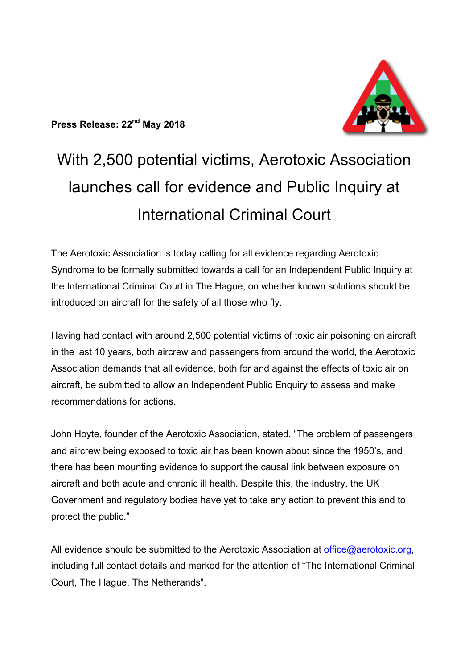

# With 2,500 potential victims, Aerotoxic Association launches call for evidence and Public Inquiry at International Criminal Court

The Aerotoxic Association is today calling for all evidence regarding Aerotoxic Syndrome to be formally submitted towards a call for an Independent Public Inquiry at the International Criminal Court in The Hague, on whether known solutions should be introduced on aircraft for the safety of all those who fly.

Having had contact with around 2,500 potential victims of toxic air poisoning on aircraft in the last 10 years, both aircrew and passengers from around the world, the Aerotoxic Association demands that all evidence, both for and against the effects of toxic air on aircraft, be submitted to allow an Independent Public Enquiry to assess and make recommendations for actions.

John Hoyte, founder of the Aerotoxic Association, stated, "The problem of passengers and aircrew being exposed to toxic air has been known about since the 1950's, and there has been mounting evidence to support the causal link between exposure on aircraft and both acute and chronic ill health. Despite this, the industry, the UK Government and regulatory bodies have yet to take any action to prevent this and to protect the public."

All evidence should be submitted to the Aerotoxic Association at office@aerotoxic.org, including full contact details and marked for the attention of "The International Criminal Court, The Hague, The Netherands".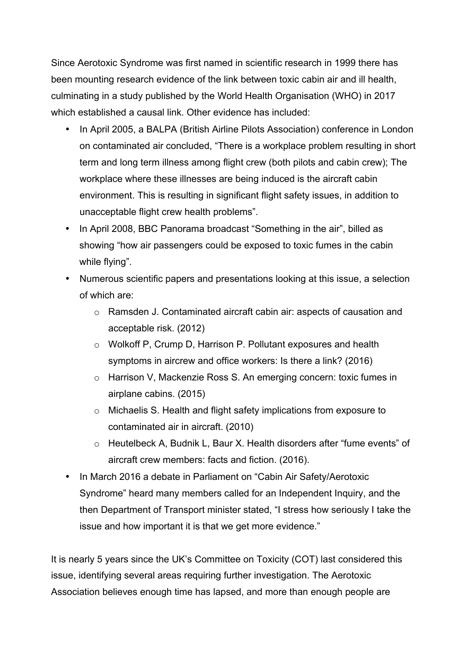Since Aerotoxic Syndrome was first named in scientific research in 1999 there has been mounting research evidence of the link between toxic cabin air and ill health, culminating in a study published by the World Health Organisation (WHO) in 2017 which established a causal link. Other evidence has included:

- In April 2005, a BALPA (British Airline Pilots Association) conference in London on contaminated air concluded, "There is a workplace problem resulting in short term and long term illness among flight crew (both pilots and cabin crew); The workplace where these illnesses are being induced is the aircraft cabin environment. This is resulting in significant flight safety issues, in addition to unacceptable flight crew health problems".
- In April 2008, BBC Panorama broadcast "Something in the air", billed as showing "how air passengers could be exposed to toxic fumes in the cabin while flying".
- Numerous scientific papers and presentations looking at this issue, a selection of which are:
	- o Ramsden J. Contaminated aircraft cabin air: aspects of causation and acceptable risk. (2012)
	- o Wolkoff P, Crump D, Harrison P. Pollutant exposures and health symptoms in aircrew and office workers: Is there a link? (2016)
	- o Harrison V, Mackenzie Ross S. An emerging concern: toxic fumes in airplane cabins. (2015)
	- o Michaelis S. Health and flight safety implications from exposure to contaminated air in aircraft. (2010)
	- o Heutelbeck A, Budnik L, Baur X. Health disorders after "fume events" of aircraft crew members: facts and fiction. (2016).
- In March 2016 a debate in Parliament on "Cabin Air Safety/Aerotoxic Syndrome" heard many members called for an Independent Inquiry, and the then Department of Transport minister stated, "I stress how seriously I take the issue and how important it is that we get more evidence."

It is nearly 5 years since the UK's Committee on Toxicity (COT) last considered this issue, identifying several areas requiring further investigation. The Aerotoxic Association believes enough time has lapsed, and more than enough people are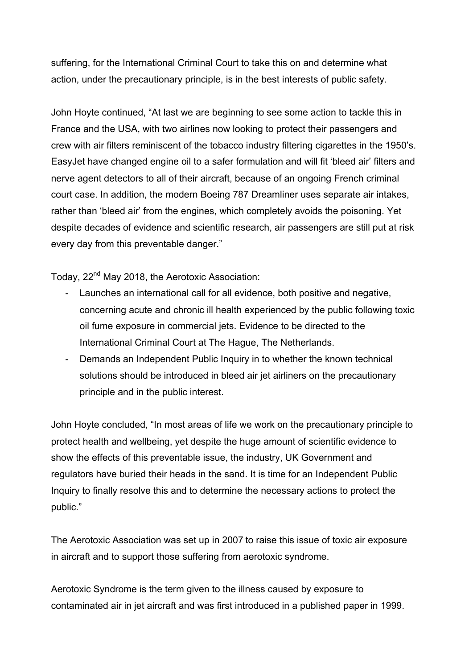suffering, for the International Criminal Court to take this on and determine what action, under the precautionary principle, is in the best interests of public safety.

John Hoyte continued, "At last we are beginning to see some action to tackle this in France and the USA, with two airlines now looking to protect their passengers and crew with air filters reminiscent of the tobacco industry filtering cigarettes in the 1950's. EasyJet have changed engine oil to a safer formulation and will fit 'bleed air' filters and nerve agent detectors to all of their aircraft, because of an ongoing French criminal court case. In addition, the modern Boeing 787 Dreamliner uses separate air intakes, rather than 'bleed air' from the engines, which completely avoids the poisoning. Yet despite decades of evidence and scientific research, air passengers are still put at risk every day from this preventable danger."

Today, 22nd May 2018, the Aerotoxic Association:

- Launches an international call for all evidence, both positive and negative, concerning acute and chronic ill health experienced by the public following toxic oil fume exposure in commercial jets. Evidence to be directed to the International Criminal Court at The Hague, The Netherlands.
- Demands an Independent Public Inquiry in to whether the known technical solutions should be introduced in bleed air jet airliners on the precautionary principle and in the public interest.

John Hoyte concluded, "In most areas of life we work on the precautionary principle to protect health and wellbeing, yet despite the huge amount of scientific evidence to show the effects of this preventable issue, the industry, UK Government and regulators have buried their heads in the sand. It is time for an Independent Public Inquiry to finally resolve this and to determine the necessary actions to protect the public."

The Aerotoxic Association was set up in 2007 to raise this issue of toxic air exposure in aircraft and to support those suffering from aerotoxic syndrome.

Aerotoxic Syndrome is the term given to the illness caused by exposure to contaminated air in jet aircraft and was first introduced in a published paper in 1999.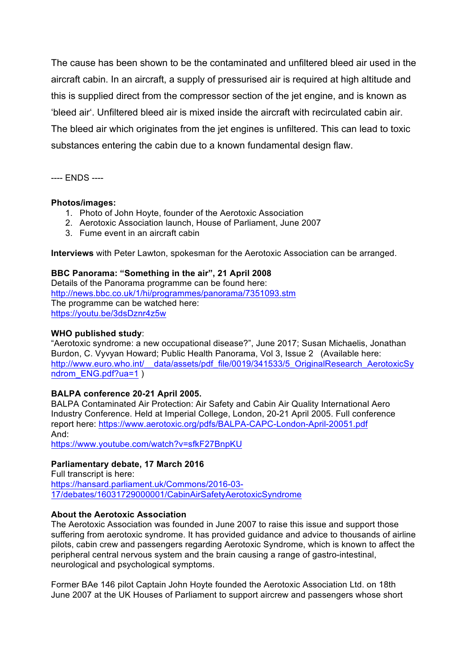The cause has been shown to be the contaminated and unfiltered bleed air used in the aircraft cabin. In an aircraft, a supply of pressurised air is required at high altitude and this is supplied direct from the compressor section of the jet engine, and is known as 'bleed air'. Unfiltered bleed air is mixed inside the aircraft with recirculated cabin air. The bleed air which originates from the jet engines is unfiltered. This can lead to toxic substances entering the cabin due to a known fundamental design flaw.

---- ENDS ----

#### **Photos/images:**

- 1. Photo of John Hoyte, founder of the Aerotoxic Association
- 2. Aerotoxic Association launch, House of Parliament, June 2007
- 3. Fume event in an aircraft cabin

**Interviews** with Peter Lawton, spokesman for the Aerotoxic Association can be arranged.

## **BBC Panorama: "Something in the air", 21 April 2008**

Details of the Panorama programme can be found here: http://news.bbc.co.uk/1/hi/programmes/panorama/7351093.stm The programme can be watched here: https://youtu.be/3dsDznr4z5w

#### **WHO published study**:

"Aerotoxic syndrome: a new occupational disease?", June 2017; Susan Michaelis, Jonathan Burdon, C. Vyvyan Howard; Public Health Panorama, Vol 3, Issue 2 (Available here: http://www.euro.who.int/\_\_data/assets/pdf\_file/0019/341533/5\_OriginalResearch\_AerotoxicSy ndrom\_ENG.pdf?ua=1 )

## **BALPA conference 20-21 April 2005.**

BALPA Contaminated Air Protection: Air Safety and Cabin Air Quality International Aero Industry Conference. Held at Imperial College, London, 20-21 April 2005. Full conference report here: https://www.aerotoxic.org/pdfs/BALPA-CAPC-London-April-20051.pdf And:

https://www.youtube.com/watch?v=sfkF27BnpKU

## **Parliamentary debate, 17 March 2016**

Full transcript is here: https://hansard.parliament.uk/Commons/2016-03- 17/debates/16031729000001/CabinAirSafetyAerotoxicSyndrome

#### **About the Aerotoxic Association**

The Aerotoxic Association was founded in June 2007 to raise this issue and support those suffering from aerotoxic syndrome. It has provided guidance and advice to thousands of airline pilots, cabin crew and passengers regarding Aerotoxic Syndrome, which is known to affect the peripheral central nervous system and the brain causing a range of gastro-intestinal, neurological and psychological symptoms.

Former BAe 146 pilot Captain John Hoyte founded the Aerotoxic Association Ltd. on 18th June 2007 at the UK Houses of Parliament to support aircrew and passengers whose short